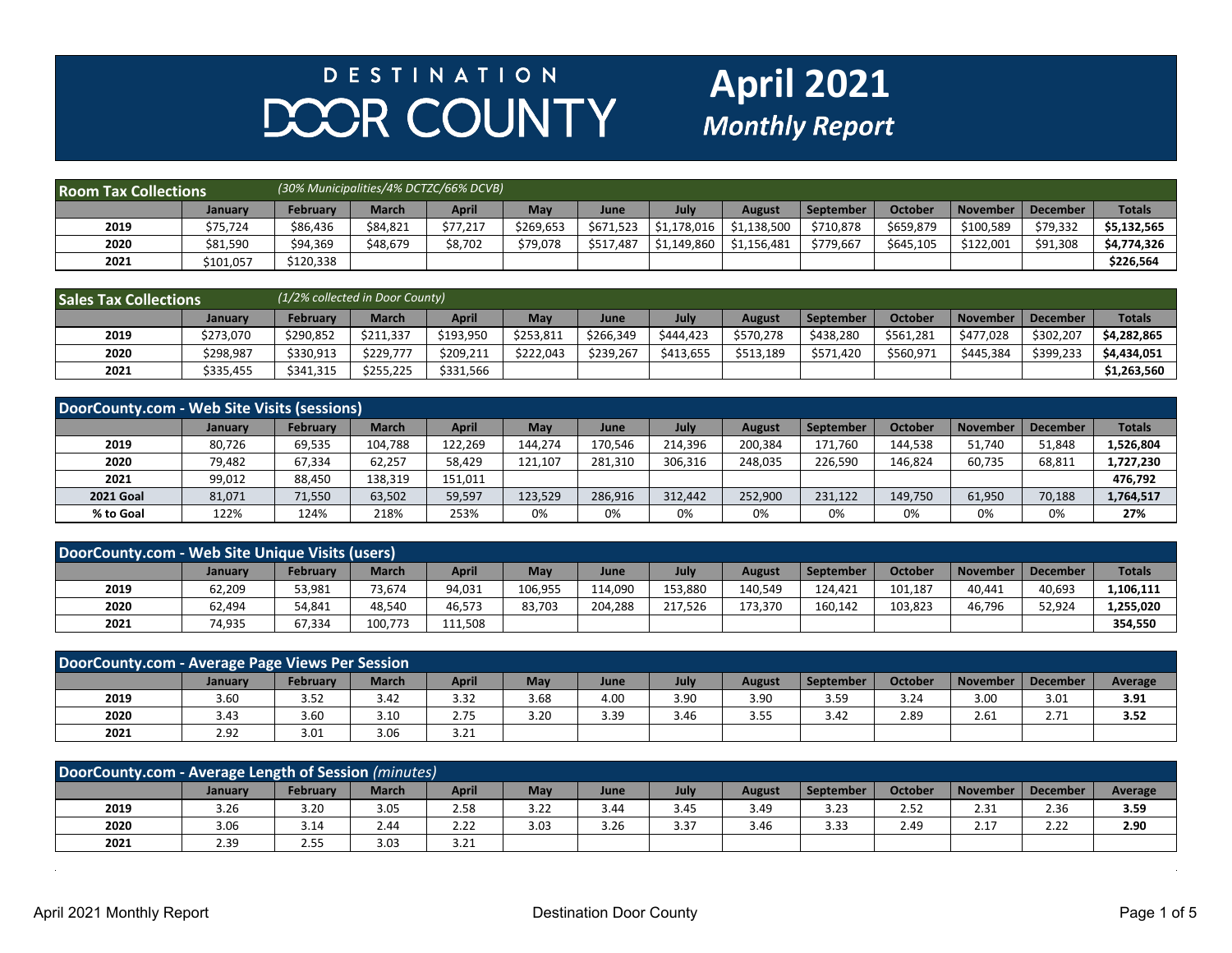## **DESTINATION** DOOR COUNTY

## **April 2021**

| <b>Room Tax Collections</b> |           | (30% Municipalities/4% DCTZC/66% DCVB) |              |          |           |             |              |               |           |           |                 |          |               |
|-----------------------------|-----------|----------------------------------------|--------------|----------|-----------|-------------|--------------|---------------|-----------|-----------|-----------------|----------|---------------|
|                             | January   | February                               | <b>March</b> | April    | May       | <b>June</b> | July         | <b>August</b> | September | October   | <b>November</b> | December | <b>Totals</b> |
| 2019                        | \$75,724  | \$86,436                               | \$84,821     | \$77,217 | \$269.653 | \$671,523   | 51.178.016 S | \$1.138.500   | \$710,878 | \$659,879 | \$100,589       | \$79,332 | \$5.132.565   |
| 2020                        | \$81,590  | \$94,369                               | \$48,679     | \$8,702  | \$79,078  | \$517,487   | 51,149,860 ' | \$1.156.481   | \$779.667 | \$645,105 | \$122.001       | \$91,308 | \$4,774,326   |
| 2021                        | \$101,057 | \$120,338                              |              |          |           |             |              |               |           |           |                 |          | \$226,564     |

| <b>Sales Tax Collections</b> |           | (1/2% collected in Door County) |              |           |           |             |             |               |           |           |            |           |               |
|------------------------------|-----------|---------------------------------|--------------|-----------|-----------|-------------|-------------|---------------|-----------|-----------|------------|-----------|---------------|
|                              | Januarv   | February                        | <b>March</b> | April     | May       | <b>June</b> | <b>July</b> | <b>August</b> | September | October   | l November | December  | <b>Totals</b> |
| 2019                         | \$273,070 | \$290.852                       | \$211.337    | \$193,950 | \$253.811 | \$266,349   | \$444.423   | \$570.278     | \$438.280 | \$561,281 | \$477.028  | \$302,207 | \$4.282.865   |
| 2020                         | \$298,987 | \$330,913                       | \$229.777    | \$209,211 | \$222.043 | \$239,267   | \$413.655   | \$513,189     | \$571,420 | \$560,971 | \$445.384  | \$399,233 | \$4,434,051   |
| 2021                         | \$335,455 | \$341,315                       | \$255,225    | \$331,566 |           |             |             |               |           |           |            |           | \$1,263,560   |

| DoorCounty.com - Web Site Visits (sessions) |         |                 |              |              |         |             |         |         |           |                |                 |                 |               |
|---------------------------------------------|---------|-----------------|--------------|--------------|---------|-------------|---------|---------|-----------|----------------|-----------------|-----------------|---------------|
|                                             | January | <b>February</b> | <b>March</b> | <b>April</b> | May     | <b>June</b> | July    | August  | September | <b>October</b> | <b>November</b> | <b>December</b> | <b>Totals</b> |
| 2019                                        | 80.726  | 69,535          | 104.788      | 122,269      | 144.274 | 170,546     | 214.396 | 200.384 | 171.760   | 144.538        | 51,740          | 51,848          | L,526,804     |
| 2020                                        | 79,482  | 67,334          | 62,257       | 58,429       | 121,107 | 281,310     | 306,316 | 248,035 | 226.590   | 146,824        | 60,735          | 68,811          | 1,727,230     |
| 2021                                        | 99,012  | 88,450          | 138,319      | 151.011      |         |             |         |         |           |                |                 |                 | 476.792       |
| <b>2021 Goal</b>                            | 81,071  | 71,550          | 63,502       | 59,597       | 123,529 | 286,916     | 312.442 | 252,900 | 231,122   | 149,750        | 61,950          | 70,188          | 1,764,517     |
| % to Goal                                   | 122%    | 124%            | 218%         | 253%         | 0%      | 0%          | 0%      | 0%      | 0%        | 0%             | 0%              | 0%              | 27%           |

| DoorCounty.com - Web Site Unique Visits (users) |         |          |              |              |         |         |         |               |           |         |                 |                 |               |
|-------------------------------------------------|---------|----------|--------------|--------------|---------|---------|---------|---------------|-----------|---------|-----------------|-----------------|---------------|
|                                                 | January | February | <b>March</b> | <b>April</b> | May     | June    | July    | <b>August</b> | September | October | <b>November</b> | <b>December</b> | <b>Totals</b> |
| 2019                                            | 62,209  | 53,981   | 73.674       | 94,031       | 106,955 | 114.090 | 153.880 | 140.549       | 124.421   | 101,187 | 40,441          | 40,693          | 1,106,111     |
| 2020                                            | 62,494  | 54,841   | 48.540       | 46,573       | 83,703  | 204.288 | 217.526 | 173,370       | 160,142   | 103,823 | 46.796          | 52,924          | 1,255,020     |
| 2021                                            | 74,935  | 67,334   | 100.773      | 111.508      |         |         |         |               |           |         |                 |                 | 354.550       |

| DoorCounty.com - Average Page Views Per Session |         |          |              |              |      |      |      |               |                  |                |          |                 |                |
|-------------------------------------------------|---------|----------|--------------|--------------|------|------|------|---------------|------------------|----------------|----------|-----------------|----------------|
|                                                 | January | Februarv | <b>March</b> | <b>April</b> | May  | June | July | <b>August</b> | <b>September</b> | <b>October</b> | November | <b>December</b> | <b>Average</b> |
| 2019                                            | 3.60    | 3.52     | 3.42         | 3.32         | 3.68 | 4.00 | 3.90 | 3.90          | 3.59             | 3.24           | 3.00     | 3.01            | 3.91           |
| 2020                                            | 3.43    | 3.60     | 3.10         | 2.75         | 3.20 | 3.39 | 3.46 | 3.55          | 3.42             | 2.89           | 2.61     | 2.71            | 3.52           |
| 2021                                            | 2.92    | 3.01     | 3.06         | 3.21         |      |      |      |               |                  |                |          |                 |                |

| DoorCounty.com - Average Length of Session (minutes) |         |                    |              |              |      |      |      |               |                  |                |          |                 |         |
|------------------------------------------------------|---------|--------------------|--------------|--------------|------|------|------|---------------|------------------|----------------|----------|-----------------|---------|
|                                                      | Januarv | <b>February</b>    | <b>March</b> | <b>April</b> | May  | June | July | <b>August</b> | <b>September</b> | <b>October</b> | November | <b>December</b> | Average |
| 2019                                                 | 3.26    | 3.20               | 3.05         | 2.58         | 3.22 | 3.44 | 3.45 | 3.49          | 3.23             | 2.52           | 2.31     | 2.36            | 3.59    |
| 2020                                                 | 3.06    | 3.14               | 2.44         | 2.22         | 3.03 | 3.26 | 3.37 | 3.46          | 3.33             | 2.49           | 2.17     | 2.22            | 2.90    |
| 2021                                                 | 2.39    | $\sim$ $-$<br>2.55 | 3.03         | 3.21         |      |      |      |               |                  |                |          |                 |         |

 $\sim$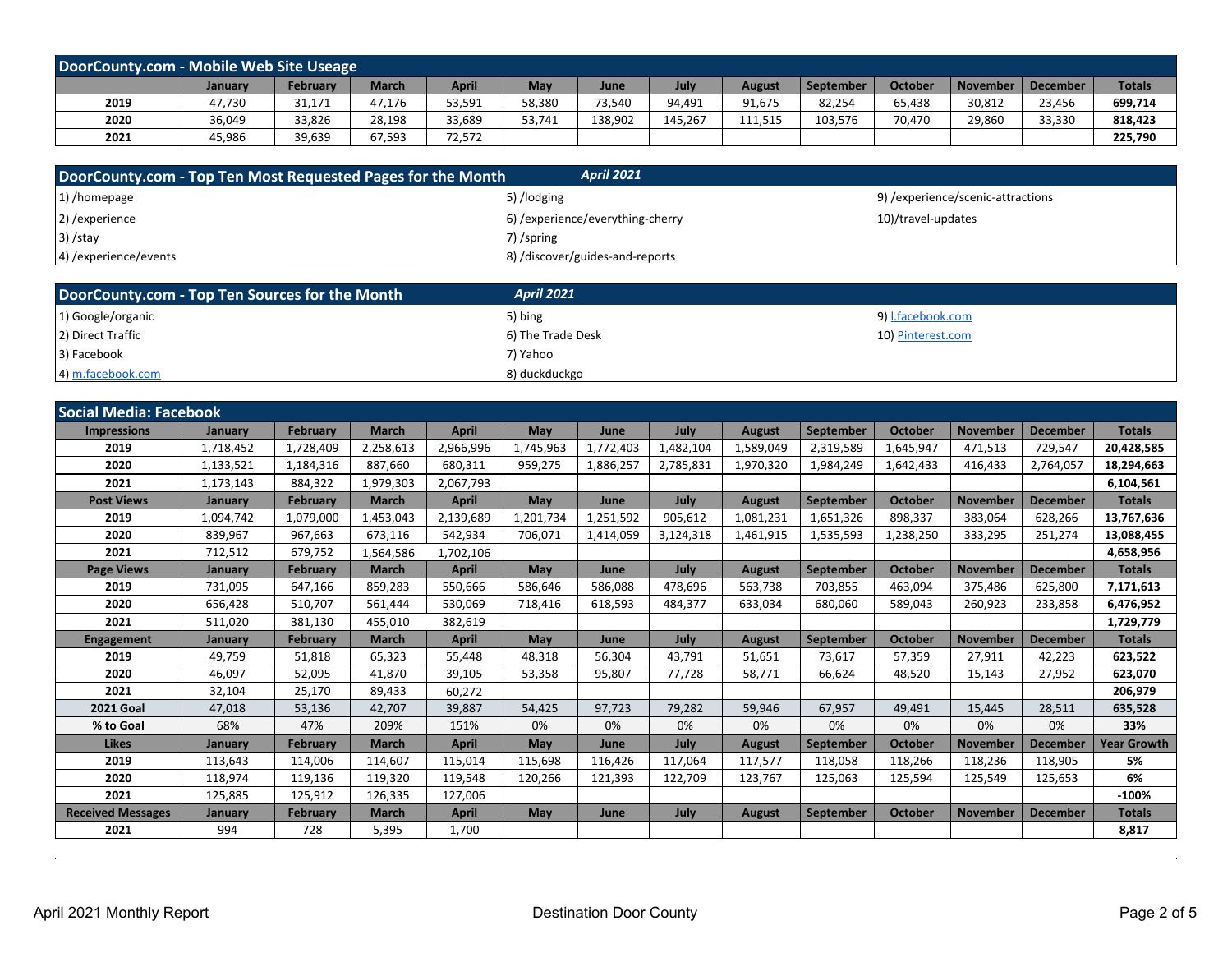| DoorCounty.com - Mobile Web Site Useage |                |          |        |        |        |             |         |         |           |                |        |                     |               |
|-----------------------------------------|----------------|----------|--------|--------|--------|-------------|---------|---------|-----------|----------------|--------|---------------------|---------------|
|                                         | <b>January</b> | February | March  | April  | May    | <b>June</b> | July    | August  | September | <b>October</b> |        | November   December | <b>Totals</b> |
| 2019                                    | 47,730         | 31,171   | 47,176 | 53,591 | 58,380 | 73,540      | 94,491  | 91,675  | 82,254    | 65,438         | 30,812 | 23,456              | 699,714       |
| 2020                                    | 36,049         | 33,826   | 28,198 | 33,689 | 53,741 | 138,902     | 145.267 | 111,515 | 103,576   | 70.470         | 29,860 | 33,330              | 818,423       |
| 2021                                    | 45,986         | 39,639   | 67,593 | 72,572 |        |             |         |         |           |                |        |                     | 225,790       |

| DoorCounty.com - Top Ten Most Requested Pages for the Month | <b>April 2021</b>                |                                   |
|-------------------------------------------------------------|----------------------------------|-----------------------------------|
| $ 1\rangle$ /homepage                                       | 5) /lodging                      | 9) /experience/scenic-attractions |
| 2) / experience                                             | 6) /experience/everything-cherry | 10)/travel-updates                |
| $ 3\rangle$ /stay                                           | 7)/spring                        |                                   |
| 4) / experience/events                                      | 8) /discover/guides-and-reports  |                                   |

| DoorCounty.com - Top Ten Sources for the Month | <b>April 2021</b> |                   |
|------------------------------------------------|-------------------|-------------------|
| 1) Google/organic                              | 5) bing           | 9) I.facebook.com |
| 2) Direct Traffic                              | 6) The Trade Desk | 10) Pinterest.com |
| 3) Facebook                                    | 7) Yahoo          |                   |
| 4) m.facebook.com                              | 8) duckduckgo     |                   |

| <b>Social Media: Facebook</b> |           |                 |              |              |           |           |           |               |                  |                |                 |                 |                    |
|-------------------------------|-----------|-----------------|--------------|--------------|-----------|-----------|-----------|---------------|------------------|----------------|-----------------|-----------------|--------------------|
| <b>Impressions</b>            | January   | <b>February</b> | <b>March</b> | <b>April</b> | May       | June      | July      | <b>August</b> | September        | <b>October</b> | <b>November</b> | <b>December</b> | <b>Totals</b>      |
| 2019                          | 1,718,452 | 1,728,409       | 2,258,613    | 2,966,996    | 1.745.963 | 1,772,403 | 1,482,104 | 1,589,049     | 2,319,589        | 1,645,947      | 471,513         | 729,547         | 20,428,585         |
| 2020                          | 1,133,521 | 1,184,316       | 887,660      | 680,311      | 959,275   | 1,886,257 | 2.785.831 | 1,970,320     | 1,984,249        | 1,642,433      | 416.433         | 2,764,057       | 18,294,663         |
| 2021                          | 1,173,143 | 884,322         | 1,979,303    | 2,067,793    |           |           |           |               |                  |                |                 |                 | 6,104,561          |
| <b>Post Views</b>             | January   | <b>February</b> | <b>March</b> | <b>April</b> | May       | June      | July      | <b>August</b> | <b>September</b> | <b>October</b> | <b>November</b> | <b>December</b> | <b>Totals</b>      |
| 2019                          | 1,094,742 | 1,079,000       | 1,453,043    | 2,139,689    | 1,201,734 | 1,251,592 | 905,612   | 1,081,231     | 1,651,326        | 898,337        | 383,064         | 628,266         | 13,767,636         |
| 2020                          | 839,967   | 967,663         | 673,116      | 542,934      | 706,071   | 1,414,059 | 3,124,318 | 1,461,915     | 1,535,593        | 1,238,250      | 333,295         | 251,274         | 13,088,455         |
| 2021                          | 712,512   | 679,752         | 1,564,586    | 1,702,106    |           |           |           |               |                  |                |                 |                 | 4,658,956          |
| <b>Page Views</b>             | January   | <b>February</b> | <b>March</b> | <b>April</b> | May       | June      | July      | <b>August</b> | September        | <b>October</b> | <b>November</b> | <b>December</b> | <b>Totals</b>      |
| 2019                          | 731,095   | 647,166         | 859,283      | 550,666      | 586,646   | 586,088   | 478,696   | 563,738       | 703,855          | 463,094        | 375,486         | 625,800         | 7,171,613          |
| 2020                          | 656,428   | 510.707         | 561.444      | 530,069      | 718,416   | 618,593   | 484,377   | 633,034       | 680.060          | 589,043        | 260,923         | 233,858         | 6,476,952          |
| 2021                          | 511,020   | 381,130         | 455.010      | 382.619      |           |           |           |               |                  |                |                 |                 | 1,729,779          |
| <b>Engagement</b>             | January   | <b>February</b> | <b>March</b> | <b>April</b> | May       | June      | July      | <b>August</b> | <b>September</b> | <b>October</b> | <b>November</b> | <b>December</b> | <b>Totals</b>      |
| 2019                          | 49,759    | 51,818          | 65,323       | 55,448       | 48,318    | 56,304    | 43.791    | 51,651        | 73,617           | 57,359         | 27,911          | 42,223          | 623,522            |
| 2020                          | 46,097    | 52,095          | 41.870       | 39,105       | 53,358    | 95.807    | 77.728    | 58.771        | 66.624           | 48,520         | 15,143          | 27,952          | 623,070            |
| 2021                          | 32,104    | 25,170          | 89.433       | 60,272       |           |           |           |               |                  |                |                 |                 | 206,979            |
| <b>2021 Goal</b>              | 47,018    | 53,136          | 42,707       | 39,887       | 54,425    | 97,723    | 79,282    | 59,946        | 67,957           | 49,491         | 15,445          | 28,511          | 635,528            |
| % to Goal                     | 68%       | 47%             | 209%         | 151%         | 0%        | 0%        | 0%        | 0%            | 0%               | 0%             | 0%              | 0%              | 33%                |
| <b>Likes</b>                  | January   | <b>February</b> | <b>March</b> | <b>April</b> | May       | June      | July      | <b>August</b> | <b>September</b> | <b>October</b> | <b>November</b> | <b>December</b> | <b>Year Growth</b> |
| 2019                          | 113,643   | 114,006         | 114,607      | 115,014      | 115,698   | 116,426   | 117,064   | 117,577       | 118,058          | 118,266        | 118,236         | 118,905         | 5%                 |
| 2020                          | 118,974   | 119,136         | 119,320      | 119,548      | 120,266   | 121,393   | 122,709   | 123,767       | 125,063          | 125,594        | 125,549         | 125,653         | 6%                 |
| 2021                          | 125,885   | 125,912         | 126,335      | 127,006      |           |           |           |               |                  |                |                 |                 | $-100%$            |
| <b>Received Messages</b>      | January   | <b>February</b> | <b>March</b> | <b>April</b> | May       | June      | July      | <b>August</b> | <b>September</b> | <b>October</b> | <b>November</b> | <b>December</b> | <b>Totals</b>      |
| 2021                          | 994       | 728             | 5,395        | 1.700        |           |           |           |               |                  |                |                 |                 | 8,817              |

 $\Delta \sim 1$ 

 $\mathcal{L}^{\pm}$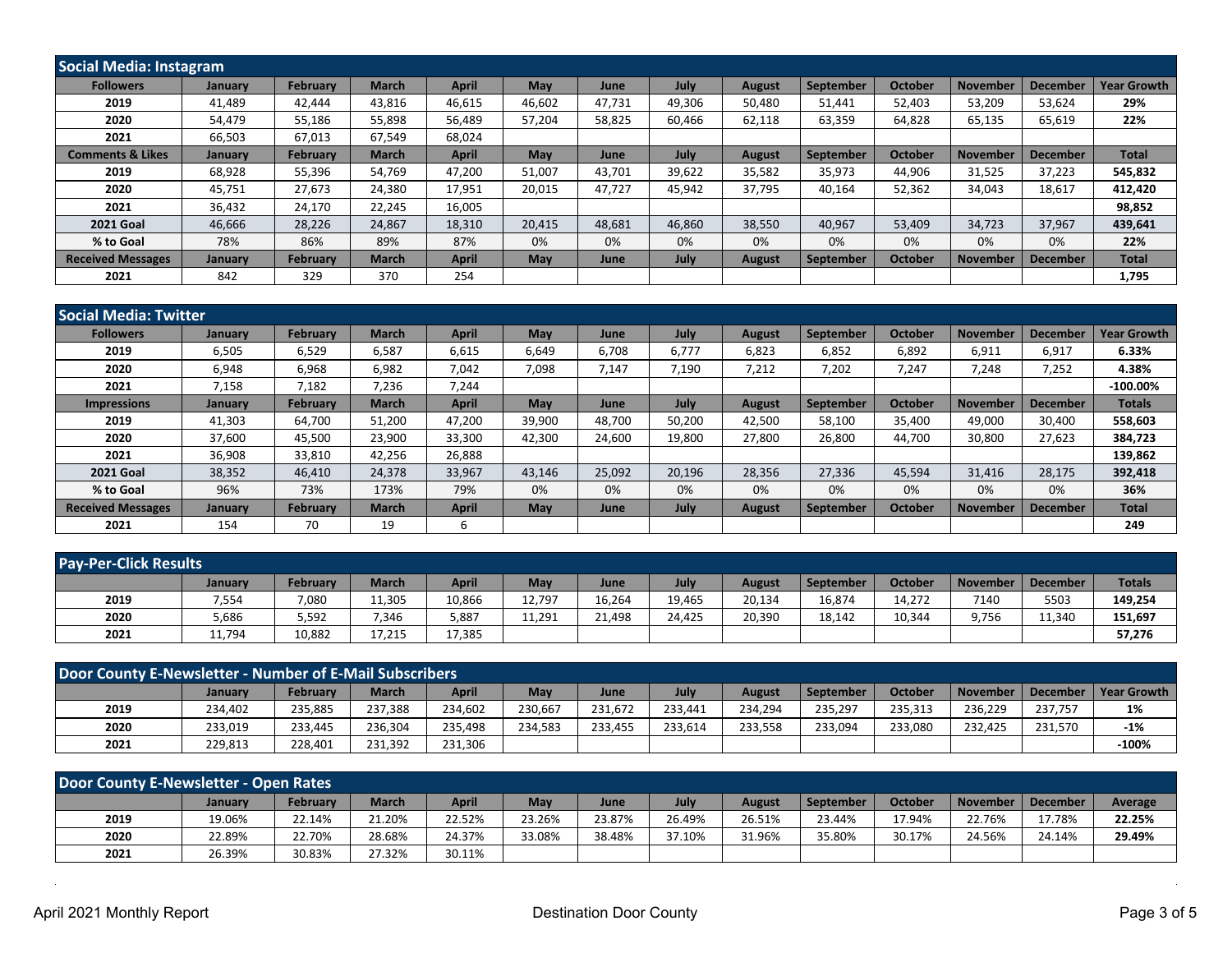| Social Media: Instagram     |         |                 |              |              |        |             |             |               |           |                |                 |                 |                    |
|-----------------------------|---------|-----------------|--------------|--------------|--------|-------------|-------------|---------------|-----------|----------------|-----------------|-----------------|--------------------|
| <b>Followers</b>            | January | <b>February</b> | <b>March</b> | <b>April</b> | May    | June        | July        | <b>August</b> | September | <b>October</b> | November        | December        | <b>Year Growth</b> |
| 2019                        | 41.489  | 42.444          | 43.816       | 46,615       | 46.602 | 47.731      | 49.306      | 50,480        | 51.441    | 52,403         | 53.209          | 53,624          | 29%                |
| 2020                        | 54,479  | 55,186          | 55,898       | 56,489       | 57,204 | 58,825      | 60.466      | 62,118        | 63,359    | 64,828         | 65,135          | 65,619          | 22%                |
| 2021                        | 66,503  | 67,013          | 67,549       | 68,024       |        |             |             |               |           |                |                 |                 |                    |
| <b>Comments &amp; Likes</b> | January | <b>February</b> | <b>March</b> | <b>April</b> | May    | <b>June</b> | <b>July</b> | <b>August</b> | September | <b>October</b> | <b>November</b> | <b>December</b> | <b>Total</b>       |
| 2019                        | 68.928  | 55,396          | 54.769       | 47,200       | 51,007 | 43.701      | 39,622      | 35,582        | 35,973    | 44,906         | 31,525          | 37,223          | 545,832            |
| 2020                        | 45,751  | 27,673          | 24,380       | 17,951       | 20,015 | 47.727      | 45,942      | 37,795        | 40,164    | 52,362         | 34,043          | 18,617          | 412,420            |
| 2021                        | 36,432  | 24,170          | 22,245       | 16,005       |        |             |             |               |           |                |                 |                 | 98,852             |
| <b>2021 Goal</b>            | 46,666  | 28,226          | 24,867       | 18,310       | 20,415 | 48,681      | 46.860      | 38,550        | 40,967    | 53,409         | 34,723          | 37,967          | 439,641            |
| % to Goal                   | 78%     | 86%             | 89%          | 87%          | 0%     | 0%          | 0%          | 0%            | 0%        | 0%             | 0%              | 0%              | 22%                |
| <b>Received Messages</b>    | January | <b>February</b> | <b>March</b> | <b>April</b> | May    | June        | July        | <b>August</b> | September | <b>October</b> | <b>November</b> | <b>December</b> | <b>Total</b>       |
| 2021                        | 842     | 329             | 370          | 254          |        |             |             |               |           |                |                 |                 | 1,795              |

| <b>Social Media: Twitter</b> |                |                 |              |              |            |             |        |               |           |                |                 |                 |                    |
|------------------------------|----------------|-----------------|--------------|--------------|------------|-------------|--------|---------------|-----------|----------------|-----------------|-----------------|--------------------|
| <b>Followers</b>             | January        | <b>February</b> | <b>March</b> | <b>April</b> | <b>May</b> | <b>June</b> | July   | <b>August</b> | September | <b>October</b> | <b>November</b> | <b>December</b> | <b>Year Growth</b> |
| 2019                         | 6,505          | 6,529           | 6.587        | 6,615        | 6,649      | 6.708       | 6.777  | 6,823         | 6,852     | 6,892          | 6.911           | 6,917           | 6.33%              |
| 2020                         | 6,948          | 6,968           | 6,982        | 7,042        | 7,098      | 7,147       | 7,190  | 7,212         | 7,202     | 7,247          | 7,248           | 7,252           | 4.38%              |
| 2021                         | 7,158          | 7,182           | 7,236        | 7,244        |            |             |        |               |           |                |                 |                 | $-100.00\%$        |
| <b>Impressions</b>           | <b>January</b> | <b>February</b> | <b>March</b> | <b>April</b> | <b>May</b> | <b>June</b> | July   | <b>August</b> | September | <b>October</b> | <b>November</b> | <b>December</b> | <b>Totals</b>      |
| 2019                         | 41,303         | 64,700          | 51,200       | 47,200       | 39,900     | 48,700      | 50,200 | 42,500        | 58,100    | 35,400         | 49,000          | 30,400          | 558,603            |
| 2020                         | 37,600         | 45,500          | 23,900       | 33,300       | 42,300     | 24,600      | 19,800 | 27,800        | 26,800    | 44,700         | 30,800          | 27,623          | 384,723            |
| 2021                         | 36,908         | 33,810          | 42.256       | 26,888       |            |             |        |               |           |                |                 |                 | 139,862            |
| <b>2021 Goal</b>             | 38,352         | 46,410          | 24,378       | 33,967       | 43,146     | 25,092      | 20,196 | 28,356        | 27,336    | 45,594         | 31,416          | 28,175          | 392,418            |
| % to Goal                    | 96%            | 73%             | 173%         | 79%          | 0%         | 0%          | 0%     | 0%            | 0%        | 0%             | 0%              | 0%              | 36%                |
| <b>Received Messages</b>     | <b>January</b> | <b>February</b> | <b>March</b> | <b>April</b> | May        | June        | July   | <b>August</b> | September | <b>October</b> | <b>November</b> | <b>December</b> | <b>Total</b>       |
| 2021                         | 154            | 70              | 19           | b            |            |             |        |               |           |                |                 |                 | 249                |

| <b>Pay-Per-Click Results</b> |                |          |              |              |        |             |        |               |           |         |                 |                 |               |
|------------------------------|----------------|----------|--------------|--------------|--------|-------------|--------|---------------|-----------|---------|-----------------|-----------------|---------------|
|                              | <b>January</b> | February | <b>March</b> | <b>April</b> | May    | <b>June</b> | July   | <b>August</b> | September | October | <b>November</b> | <b>December</b> | <b>Totals</b> |
| 2019                         | 7,554          | 7,080    | 11,305       | 10,866       | 12,797 | 16,264      | 19,465 | 20,134        | 16,874    | 14,272  | 7140            | 5503            | 149,254       |
| 2020                         | 5,686          | 5,592    | 7,346        | 5,887        | 11,291 | 21,498      | 24,425 | 20,390        | 18,142    | 10,344  | 9,756           | 11,340          | 151,697       |
| 2021                         | 11,794         | 10,882   | 17,215       | 17,385       |        |             |        |               |           |         |                 |                 | 57,276        |

| Door County E-Newsletter - Number of E-Mail Subscribers |         |          |              |         |         |         |         |               |           |                |          |              |             |
|---------------------------------------------------------|---------|----------|--------------|---------|---------|---------|---------|---------------|-----------|----------------|----------|--------------|-------------|
|                                                         | January | February | <b>March</b> | April   | May     | June    | July    | <b>August</b> | September | <b>October</b> | November | l December l | Year Growth |
| 2019                                                    | 234,402 | 235.885  | 237.388      | 234,602 | 230.667 | 231,672 | 233.441 | 234,294       | 235.297   | 235,313        | 236.229  | 237.757      | 1%          |
| 2020                                                    | 233,019 | 233.445  | 236.304      | 235,498 | 234.583 | 233,455 | 233,614 | 233,558       | 233,094   | 233,080        | 232.425  | 231,570      | $-1%$       |
| 2021                                                    | 229,813 | 228.401  | 231.392      | 231,306 |         |         |         |               |           |                |          |              | $-100%$     |

| Door County E-Newsletter - Open Rates |         |                 |              |              |        |        |        |        |                  |         |          |                 |         |
|---------------------------------------|---------|-----------------|--------------|--------------|--------|--------|--------|--------|------------------|---------|----------|-----------------|---------|
|                                       | Januarv | <b>February</b> | <b>March</b> | <b>April</b> | May    | June   | July   | August | <b>September</b> | October | November | <b>December</b> | Average |
| 2019                                  | 19.06%  | 22.14%          | 21.20%       | 22.52%       | 23.26% | 23.87% | 26.49% | 26.51% | 23.44%           | 17.94%  | 22.76%   | 17.78%          | 22.25%  |
| 2020                                  | 22.89%  | 22.70%          | 28.68%       | 24.37%       | 33.08% | 38.48% | 37.10% | 31.96% | 35.80%           | 30.17%  | 24.56%   | 24.14%          | 29.49%  |
| 2021                                  | 26.39%  | 30.83%          | 27.32%       | 30.11%       |        |        |        |        |                  |         |          |                 |         |

 $\sim$ 

 $\mathbb{R}^2$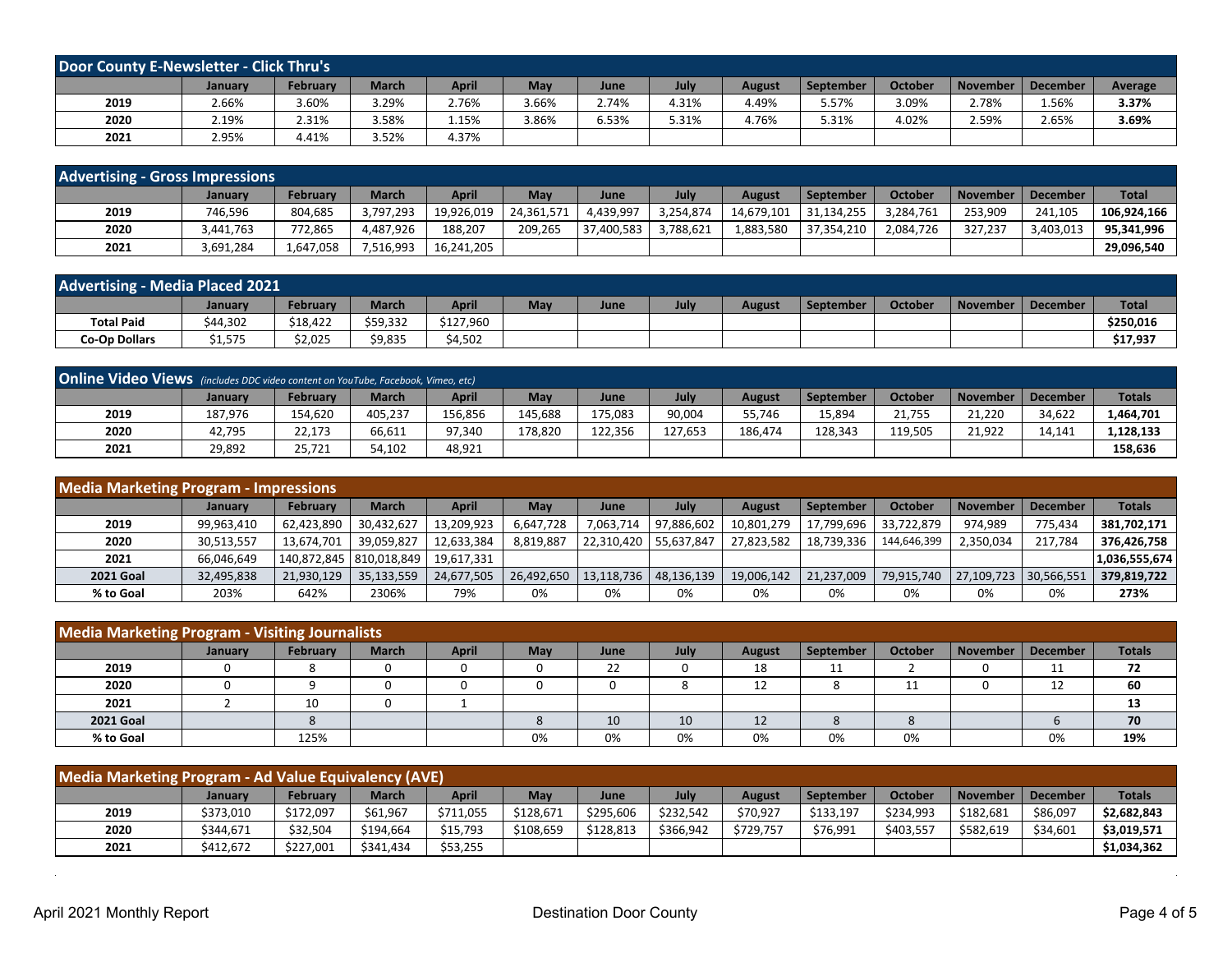| <b>Door County E-Newsletter - Click Thru's</b> |         |                 |              |              |       |             |       |               |           |                |          |                 |         |
|------------------------------------------------|---------|-----------------|--------------|--------------|-------|-------------|-------|---------------|-----------|----------------|----------|-----------------|---------|
|                                                | January | <b>February</b> | <b>March</b> | <b>April</b> | May   | <b>June</b> | July  | <b>August</b> | September | <b>October</b> | November | <b>December</b> | Average |
| 2019                                           | 2.66%   | 3.60%           | 3.29%        | 2.76%        | 3.66% | 2.74%       | 4.31% | 4.49%         | 5.57%     | 3.09%          | 2.78%    | 1.56%           | 3.37%   |
| 2020                                           | 2.19%   | 2.31%           | 3.58%        | 1.15%        | 1.86% | 6.53%       | 5.31% | 4.76%         | 5.31%     | 4.02%          | 2.59%    | 2.65%           | 3.69%   |
| 2021                                           | 2.95%   | 4.41%           | 3.52%        | 4.37%        |       |             |       |               |           |                |          |                 |         |

| <b>Advertising - Gross Impressions</b> |           |                 |              |              |            |             |           |               |            |                |                 |                 |              |
|----------------------------------------|-----------|-----------------|--------------|--------------|------------|-------------|-----------|---------------|------------|----------------|-----------------|-----------------|--------------|
|                                        | January   | <b>February</b> | <b>March</b> | <b>April</b> | May        | <b>June</b> | July      | <b>August</b> | September  | <b>October</b> | <b>November</b> | <b>December</b> | <b>Total</b> |
| 2019                                   | 746,596   | 804,685         | 3,797,293    | 19,926,019   | 24,361,571 | ,439,997    | 3,254,874 | 14,679,101    | 31,134,255 | 3,284,761      | 253,909         | 241,105         | 106.924.166  |
| 2020                                   | 3.441.763 | 772,865         | 4.487.926    | 188.207      | 209.265    | 37,400,583  | 3.788.621 | 883,580.      | 37,354,210 | 2,084,726      | 327.237         | 3,403,013       | 95.341.996   |
| 2021                                   | 3,691,284 | 1,647,058       | 7,516,993    | 16,241,205   |            |             |           |               |            |                |                 |                 | 29,096,540   |

| <b>Advertising - Media Placed 2021</b> |          |          |              |              |     |      |      |               |           |                |                     |              |
|----------------------------------------|----------|----------|--------------|--------------|-----|------|------|---------------|-----------|----------------|---------------------|--------------|
|                                        | Januarv  | Februarv | <b>March</b> | <b>April</b> | May | June | July | <b>August</b> | September | <b>October</b> | November   December | <b>Total</b> |
| <b>Total Paid</b>                      | \$44,302 | \$18,422 | \$59,332     | \$127,960    |     |      |      |               |           |                |                     | \$250,016    |
| <b>Co-Op Dollars</b>                   | \$1,575  | \$2,025  | \$9,835      | \$4,502      |     |      |      |               |           |                |                     | \$17,937     |

| <b>Online Video Views</b> (includes DDC video content on YouTube, Facebook, Vimeo, etc) |         |          |              |         |         |         |         |               |                  |                |                 |                 |               |
|-----------------------------------------------------------------------------------------|---------|----------|--------------|---------|---------|---------|---------|---------------|------------------|----------------|-----------------|-----------------|---------------|
|                                                                                         | January | Februarv | <b>March</b> | April   | May     | June    | July    | <b>August</b> | <b>September</b> | <b>October</b> | <b>November</b> | <b>December</b> | <b>Totals</b> |
| 2019                                                                                    | 187.976 | 154,620  | 405,237      | 156,856 | 145,688 | 175,083 | 90,004  | 55,746        | 15,894           | 21.755         | 21.220          | 34,622          | L,464,701     |
| 2020                                                                                    | 42,795  | 22,173   | 66.611       | 97.340  | 178.820 | 122.356 | 127.653 | 186.474       | 128,343          | 119.505        | 21.922          | 14.141          | 1,128,133     |
| 2021                                                                                    | 29,892  | 25,721   | 54,102       | 48,921  |         |         |         |               |                  |                |                 |                 | 158,636       |

| <b>Media Marketing Program - Impressions</b> |            |                           |              |            |            |                         |            |               |            |                |                 |                 |               |
|----------------------------------------------|------------|---------------------------|--------------|------------|------------|-------------------------|------------|---------------|------------|----------------|-----------------|-----------------|---------------|
|                                              | January    | <b>February</b>           | <b>March</b> | April      | May        | June                    | July       | <b>August</b> | September  | <b>October</b> | <b>November</b> | <b>December</b> | <b>Totals</b> |
| 2019                                         | 99,963,410 | 62,423,890                | 30,432,627   | 13,209,923 | 6,647,728  | 7.063.714               | 97,886,602 | 10,801,279    | 17,799,696 | 33.722.879     | 974.989         | 775.434         | 381,702,171   |
| 2020                                         | 30,513,557 | 13,674,701                | 39.059.827   | 12,633,384 | 8.819.887  | 22,310,420              | 55.637.847 | 27.823.582    | 18.739.336 | 144.646.399    | 2,350,034       | 217.784         | 376,426,758   |
| 2021                                         | 66,046,649 | 140,872,845   810,018,849 |              | 19,617,331 |            |                         |            |               |            |                |                 |                 | 1,036,555,674 |
| <b>2021 Goal</b>                             | 32,495,838 | 21,930,129                | 35,133,559   | 24,677,505 | 26,492,650 | 13,118,736   48,136,139 |            | 19,006,142    | 21,237,009 | 79,915,740     | 27,109,723      | 130,566,551     | 379,819,722   |
| % to Goal                                    | 203%       | 642%                      | 2306%        | 79%        | 0%         | 0%                      | 0%         | 0%            | 0%         | 0%             | 0%              | 0%              | 273%          |

| <b>Media Marketing Program - Visiting Journalists</b> |                |          |              |              |            |      |      |               |           |                |                 |                 |               |
|-------------------------------------------------------|----------------|----------|--------------|--------------|------------|------|------|---------------|-----------|----------------|-----------------|-----------------|---------------|
|                                                       | <b>January</b> | February | <b>March</b> | <b>April</b> | <b>May</b> | June | July | <b>August</b> | September | <b>October</b> | <b>November</b> | <b>December</b> | <b>Totals</b> |
| 2019                                                  |                |          | 0            |              |            | 22   |      | 18            | 11        |                |                 | ᆠᆂ              | 72            |
| 2020                                                  |                |          | 0            |              |            |      |      |               |           |                |                 |                 | 60            |
| 2021                                                  |                | 10       | 0            |              |            |      |      |               |           |                |                 |                 | 13            |
| <b>2021 Goal</b>                                      |                |          |              |              |            | 10   | 10   | 12            |           |                |                 |                 | 70            |
| % to Goal                                             |                | 125%     |              |              | 0%         | 0%   | 0%   | 0%            | 0%        | 0%             |                 | 0%              | 19%           |

| Media Marketing Program - Ad Value Equivalency (AVE) |                |           |              |           |           |           |           |               |           |           |                 |                 |               |
|------------------------------------------------------|----------------|-----------|--------------|-----------|-----------|-----------|-----------|---------------|-----------|-----------|-----------------|-----------------|---------------|
|                                                      | <b>January</b> | February  | <b>March</b> | April     | May       | June      | July      | <b>August</b> | September | October   | <b>November</b> | <b>December</b> | <b>Totals</b> |
| 2019                                                 | \$373,010      | \$172,097 | \$61.967     | \$711,055 | \$128.671 | \$295,606 | \$232.542 | \$70,927      | \$133,197 | \$234.993 | \$182.681       | \$86,097        | \$2,682,843   |
| 2020                                                 | \$344,671      | \$32.504  | \$194.664    | \$15,793  | \$108.659 | \$128,813 | \$366,942 | \$729,757     | \$76,991  | \$403.557 | \$582,619       | \$34.601        | \$3,019,571   |
| 2021                                                 | \$412.672      | \$227,001 | \$341.434    | \$53,255  |           |           |           |               |           |           |                 |                 | \$1,034,362   |

 $\alpha$ 

 $\sim$